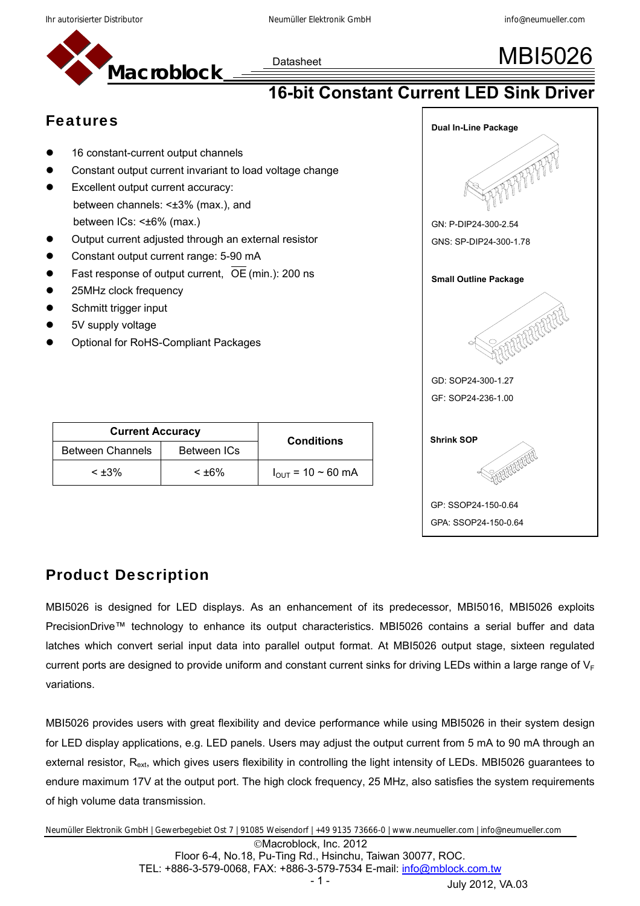



# **16-bit Constant Current LED Sink Driver**

### Features

- 16 constant-current output channels
- Constant output current invariant to load voltage change
- Excellent output current accuracy: between channels: <±3% (max.), and between ICs: <±6% (max.)
- Output current adjusted through an external resistor
- Constant output current range: 5-90 mA
- Fast response of output current,  $\overline{OE}$  (min.): 200 ns
- 25MHz clock frequency
- Schmitt trigger input
- 5V supply voltage
- Optional for RoHS-Compliant Packages

| <b>Current Accuracy</b> | <b>Conditions</b> |                               |
|-------------------------|-------------------|-------------------------------|
| <b>Between Channels</b> |                   |                               |
| $< +3\%$                | $< +6\%$          | $I_{\text{OUT}}$ = 10 ~ 60 mA |



### Product Description

MBI5026 is designed for LED displays. As an enhancement of its predecessor, MBI5016, MBI5026 exploits PrecisionDrive™ technology to enhance its output characteristics. MBI5026 contains a serial buffer and data latches which convert serial input data into parallel output format. At MBI5026 output stage, sixteen regulated current ports are designed to provide uniform and constant current sinks for driving LEDs within a large range of  $V_F$ variations.

MBI5026 provides users with great flexibility and device performance while using MBI5026 in their system design for LED display applications, e.g. LED panels. Users may adjust the output current from 5 mA to 90 mA through an external resistor, R<sub>ext</sub>, which gives users flexibility in controlling the light intensity of LEDs. MBI5026 quarantees to endure maximum 17V at the output port. The high clock frequency, 25 MHz, also satisfies the system requirements of high volume data transmission.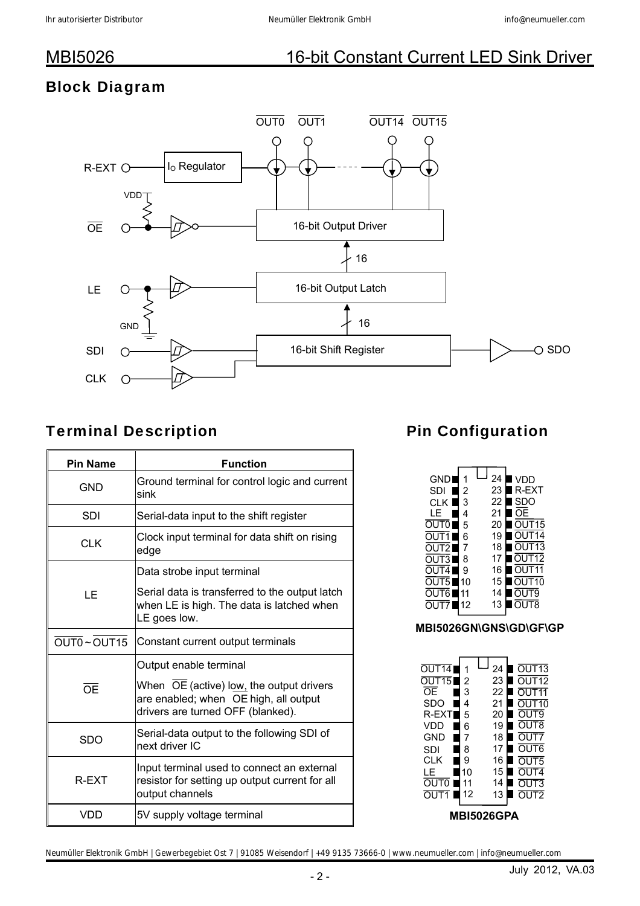# Block Diagram



## Terminal Description

| <b>Pin Name</b> | <b>Function</b>                                                                                                        |  |  |  |
|-----------------|------------------------------------------------------------------------------------------------------------------------|--|--|--|
| GND             | Ground terminal for control logic and current<br>sink                                                                  |  |  |  |
| SDI             | Serial-data input to the shift register                                                                                |  |  |  |
| <b>CLK</b>      | Clock input terminal for data shift on rising<br>edge                                                                  |  |  |  |
|                 | Data strobe input terminal                                                                                             |  |  |  |
| ΙF              | Serial data is transferred to the output latch<br>when LE is high. The data is latched when<br>LE goes low.            |  |  |  |
| OUT0~OUT15      | Constant current output terminals                                                                                      |  |  |  |
|                 | Output enable terminal                                                                                                 |  |  |  |
| $\overline{OE}$ | When OE (active) low, the output drivers<br>are enabled; when OE high, all output<br>drivers are turned OFF (blanked). |  |  |  |
| <b>SDO</b>      | Serial-data output to the following SDI of<br>next driver IC                                                           |  |  |  |
| R-EXT           | Input terminal used to connect an external<br>resistor for setting up output current for all<br>output channels        |  |  |  |
| <b>VDD</b>      | 5V supply voltage terminal                                                                                             |  |  |  |

# Pin Configuration

### **MBI5026GN\GNS\GD\GF\GP**

| OUT14<br>ີ 15<br>ΩF | 2<br>3 |  | 24<br>23<br>22 | $\overline{UT13}$<br>UT12 |  |  |  |  |  |
|---------------------|--------|--|----------------|---------------------------|--|--|--|--|--|
| SDO                 | 4      |  | 21             | n                         |  |  |  |  |  |
| R-EX'               | 5      |  | 20             | U<br>Т9<br>- 1            |  |  |  |  |  |
| VDD                 | 6      |  | 19             | T8<br>U<br>( )            |  |  |  |  |  |
| GND                 | 7      |  | 18             | l IT7<br>ำ                |  |  |  |  |  |
| SDI                 | 8      |  | 17             | OUT <sub>6</sub>          |  |  |  |  |  |
| CLK                 | 9      |  | 16             | T <sub>5</sub>            |  |  |  |  |  |
| LE                  | 10     |  | 15             | OUT4                      |  |  |  |  |  |
| <b>OUTO</b>         | 11     |  | 14             | UT3                       |  |  |  |  |  |
| OUT1                | 12     |  | 13             | <u>דוור</u>               |  |  |  |  |  |
| BI5026GPA           |        |  |                |                           |  |  |  |  |  |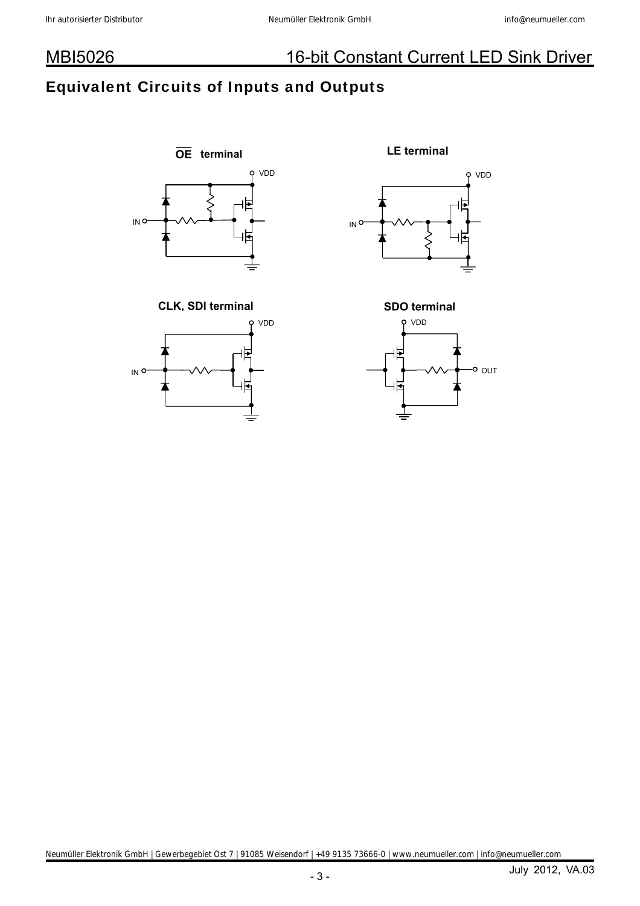## Equivalent Circuits of Inputs and Outputs









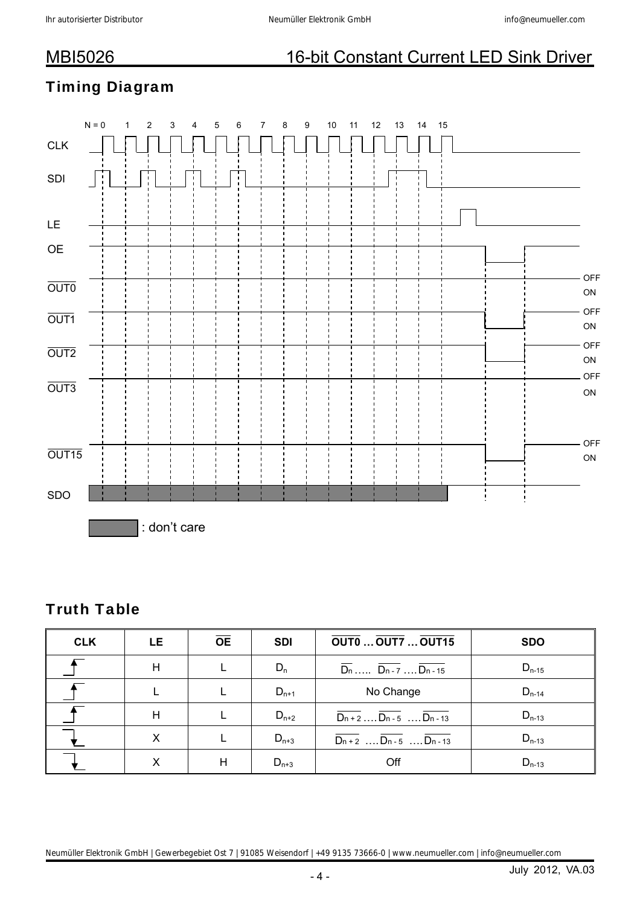## Timing Diagram

|                             | ${\sf N}={\sf 0}$ | 1 | $\boldsymbol{2}$ | 3            | 4 | 5 | 6 | 7 | 8 | 9 | $10\,$ | 11 | $12\,$ | $13$ | 14 | 15 |  |                   |  |
|-----------------------------|-------------------|---|------------------|--------------|---|---|---|---|---|---|--------|----|--------|------|----|----|--|-------------------|--|
| $\ensuremath{\mathsf{CLK}}$ |                   |   |                  |              |   |   |   |   |   |   |        |    |        |      |    |    |  |                   |  |
| $\sf SDI$                   |                   |   | ÷                |              | ÷ |   | Ŧ |   |   |   |        |    |        |      |    |    |  |                   |  |
| LE                          |                   |   |                  |              |   |   |   |   |   |   |        |    |        |      |    |    |  |                   |  |
| $\mathsf{OE}\xspace$        |                   |   |                  |              |   |   |   |   |   |   |        |    |        |      |    |    |  |                   |  |
| $\overline{OUTO}$           |                   |   |                  |              |   |   |   |   |   |   |        |    |        |      |    |    |  | OFF<br>${\sf ON}$ |  |
| OUT <sub>1</sub>            |                   |   |                  |              |   |   |   |   |   |   |        |    |        |      |    |    |  | OFF<br>${\sf ON}$ |  |
| $\overline{OUT2}$           |                   |   |                  |              |   |   |   |   |   |   |        |    |        |      |    |    |  | OFF<br>${\sf ON}$ |  |
| $\overline{OUT3}$           |                   |   |                  |              |   |   |   |   |   |   |        |    |        |      |    |    |  | OFF<br>${\sf ON}$ |  |
|                             |                   |   |                  |              |   |   |   |   |   |   |        |    |        |      |    |    |  |                   |  |
| OUT <sub>15</sub>           |                   |   |                  |              |   |   |   |   |   |   |        |    |        |      |    |    |  | OFF<br>${\sf ON}$ |  |
| SDO                         |                   |   |                  |              |   |   |   |   |   |   |        |    |        |      |    |    |  |                   |  |
|                             |                   |   |                  | : don't care |   |   |   |   |   |   |        |    |        |      |    |    |  |                   |  |

## Truth Table

| <b>CLK</b> | <b>LE</b> | <b>OE</b> | <b>SDI</b> | <b>OUTO  OUT7  OUT15</b>                                        | <b>SDO</b> |
|------------|-----------|-----------|------------|-----------------------------------------------------------------|------------|
|            | Н         |           | $D_n$      | $\overline{D_n}$ $\overline{D_{n-7}}$ $\overline{D_{n-15}}$     | $D_{n-15}$ |
|            |           |           | $D_{n+1}$  | No Change                                                       | $D_{n-14}$ |
|            | Н         |           | $D_{n+2}$  | $\overline{D_{n+2}}$ $\overline{D_{n-5}}$ $\overline{D_{n-13}}$ | $D_{n-13}$ |
|            | X         |           | $D_{n+3}$  | $\overline{D_{n+2}}$ $\overline{D_{n-5}}$ $\overline{D_{n-13}}$ | $D_{n-13}$ |
|            |           | н         | $D_{n+3}$  | Off                                                             | $D_{n-13}$ |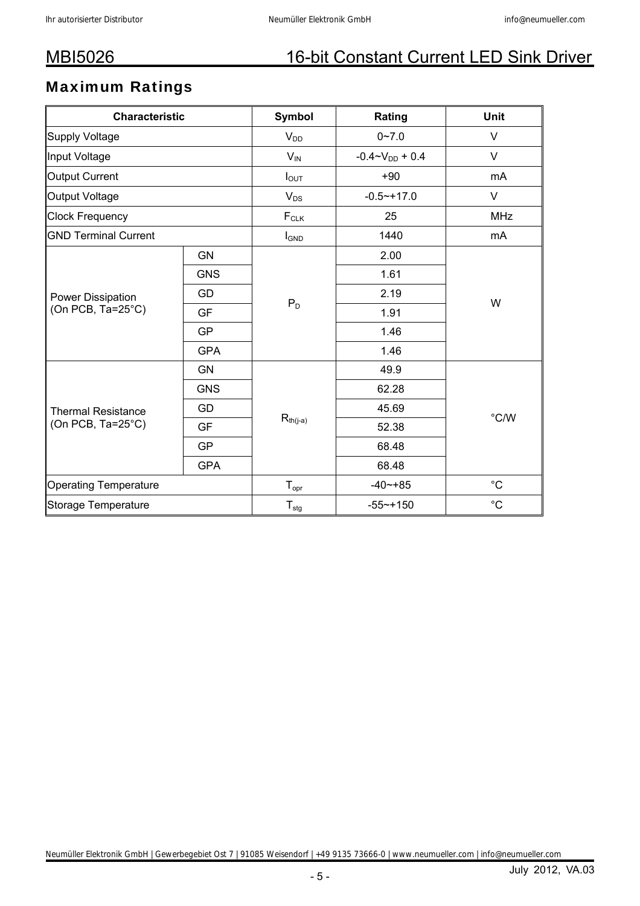## Maximum Ratings

| <b>Characteristic</b>        |            | Symbol           | Rating                   | <b>Unit</b> |
|------------------------------|------------|------------------|--------------------------|-------------|
| Supply Voltage               |            | $V_{DD}$         | $0 - 7.0$                | $\vee$      |
| Input Voltage                |            | $V_{IN}$         | $-0.4 \sim V_{DD} + 0.4$ | V           |
| Output Current               |            | $I_{OUT}$        | $+90$                    | mA          |
| Output Voltage               |            | $V_{DS}$         | $-0.5 - +17.0$           | V           |
| <b>Clock Frequency</b>       |            | $F_{CLK}$        | 25                       | <b>MHz</b>  |
| <b>GND Terminal Current</b>  |            | $I_{GND}$        | 1440                     | mA          |
|                              | <b>GN</b>  |                  | 2.00                     |             |
|                              | <b>GNS</b> |                  | 1.61                     |             |
| Power Dissipation            | GD         |                  | 2.19                     | W           |
| (On PCB, Ta=25°C)            | <b>GF</b>  | $P_D$            | 1.91                     |             |
|                              | <b>GP</b>  |                  | 1.46                     |             |
|                              | <b>GPA</b> |                  | 1.46                     |             |
|                              | <b>GN</b>  |                  | 49.9                     |             |
|                              | <b>GNS</b> |                  | 62.28                    |             |
| <b>Thermal Resistance</b>    | GD         |                  | 45.69                    | °C/W        |
| (On PCB, Ta=25°C)            | <b>GF</b>  | $R_{th(j-a)}$    | 52.38                    |             |
|                              | <b>GP</b>  |                  | 68.48                    |             |
|                              | <b>GPA</b> |                  | 68.48                    |             |
| <b>Operating Temperature</b> |            | $T_{\text{opr}}$ | $-40 - +85$              | $^{\circ}C$ |
| Storage Temperature          |            | $T_{\text{stg}}$ | $-55 - + 150$            | $^{\circ}C$ |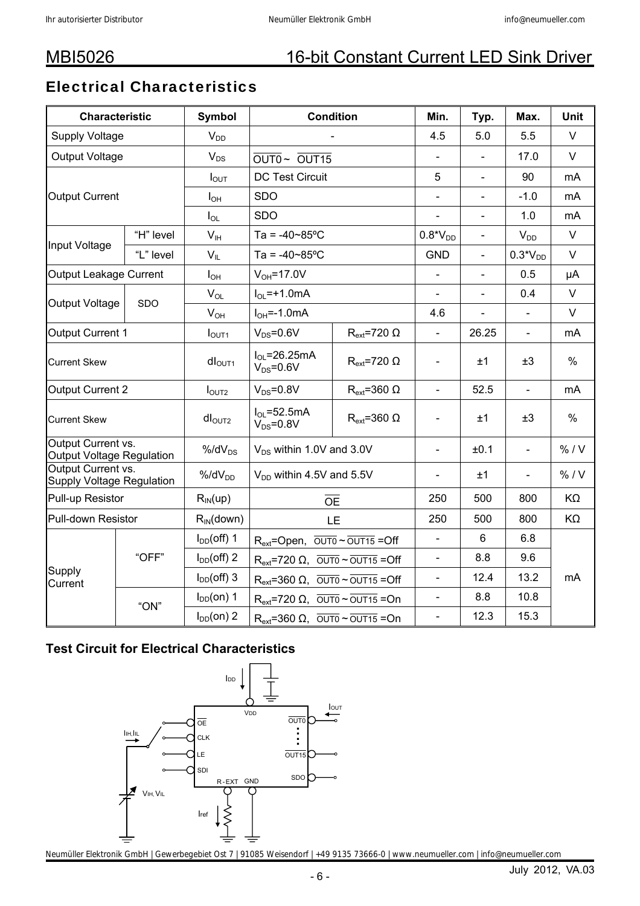## Electrical Characteristics

| <b>Characteristic</b>                                  |           | Symbol             | <b>Condition</b>                                                        | Min.                    | Typ.                     | Max.           | <b>Unit</b>    |        |
|--------------------------------------------------------|-----------|--------------------|-------------------------------------------------------------------------|-------------------------|--------------------------|----------------|----------------|--------|
| <b>Supply Voltage</b>                                  |           | $V_{DD}$           |                                                                         |                         | 4.5                      | 5.0            | 5.5            | $\vee$ |
| Output Voltage                                         |           | $V_{DS}$           | OUT0~ OUT15                                                             |                         |                          | 17.0           | $\vee$         |        |
|                                                        |           | $I_{\text{OUT}}$   | <b>DC Test Circuit</b>                                                  |                         | 5                        | $\blacksquare$ | 90             | mA     |
| <b>Output Current</b>                                  |           | $I_{OH}$           | <b>SDO</b>                                                              |                         |                          | $\blacksquare$ | $-1.0$         | mA     |
|                                                        |           | $I_{OL}$           | <b>SDO</b>                                                              |                         |                          | $\blacksquare$ | 1.0            | mA     |
| Input Voltage                                          | "H" level | $V_{\text{IH}}$    | Ta = $-40 - 85$ °C                                                      |                         | $0.8*VDD$                | $\frac{1}{2}$  | $V_{DD}$       | $\vee$ |
|                                                        | "L" level | $V_{IL}$           | Ta = $-40-85$ °C                                                        |                         | <b>GND</b>               | $\blacksquare$ | $0.3*VDD$      | $\vee$ |
| Output Leakage Current                                 |           | $I_{OH}$           | $V_{OH} = 17.0V$                                                        |                         | $\equiv$                 | $\blacksquare$ | 0.5            | μA     |
|                                                        | SDO       | $V_{OL}$           | $I_{\text{O}}$ = +1.0 mA                                                |                         |                          |                | 0.4            | $\vee$ |
| <b>Output Voltage</b>                                  |           | $V_{OH}$           | $I_{OH} = -1.0 \text{mA}$                                               |                         | 4.6                      |                |                | $\vee$ |
| Output Current 1                                       |           | I <sub>OUT1</sub>  | $V_{DS} = 0.6V$                                                         | $R_{ext}$ =720 $\Omega$ |                          | 26.25          | $\blacksquare$ | mA     |
| <b>Current Skew</b>                                    |           | dI <sub>OUT1</sub> | $I_{OL} = 26.25mA$<br>$R_{ext}$ =720 $\Omega$<br>$V_{DS} = 0.6V$        |                         | $\frac{1}{2}$            | ±1             | ±3             | $\%$   |
| <b>Output Current 2</b>                                |           | I <sub>OUT2</sub>  | $V_{DS} = 0.8V$<br>$R_{ext}$ =360 $\Omega$                              |                         | $\overline{a}$           | 52.5           | $\Box$         | mA     |
| <b>Current Skew</b>                                    |           | $dl_{\text{OUT2}}$ | $I_{OL} = 52.5mA$<br>$R_{ext}$ =360 $\Omega$<br>$V_{DS} = 0.8V$         |                         | $\blacksquare$           | ±1             | ±3             | $\%$   |
| Output Current vs.<br><b>Output Voltage Regulation</b> |           | $%$ /d $V_{DS}$    | $V_{DS}$ within 1.0V and 3.0V                                           |                         | $\blacksquare$           | ±0.1           | $\Box$         | % / V  |
| Output Current vs.<br><b>Supply Voltage Regulation</b> |           | $%$ /d $V_{DD}$    | $V_{DD}$ within 4.5V and 5.5V                                           |                         | ÷,                       | ±1             | $\blacksquare$ | % / V  |
| Pull-up Resistor                                       |           | $R_{IN}$ (up)      |                                                                         | $\overline{OE}$         | 250                      | 500            | 800            | KΩ     |
| Pull-down Resistor                                     |           | $R_{IN}$ (down)    |                                                                         | <b>LE</b>               | 250                      | 500            | 800            | KΩ     |
|                                                        |           | $I_{DD}(off)$ 1    | $R_{ext}$ =Open, $\overline{OUT0} \sim \overline{OUT15}$ =Off           |                         | $\blacksquare$           | $6\phantom{1}$ | 6.8            |        |
|                                                        | "OFF"     | $I_{DD}(off)$ 2    | $R_{ext}$ =720 $\Omega$ , $\overline{OUT0} \sim \overline{OUT15}$ = Off |                         | $\blacksquare$           | 8.8            | 9.6            |        |
| Supply<br>Current                                      |           | $I_{DD}(off)$ 3    | $R_{ext}$ =360 $\Omega$ , $\overline{OUT0} \sim \overline{OUT15}$ = Off |                         | $\overline{\phantom{a}}$ | 12.4           | 13.2           | mA     |
|                                                        |           | $I_{DD}(on)$ 1     | $R_{ext}$ =720 $\Omega$ , $\overline{OUT0} \sim \overline{OUT15}$ = On  |                         | $\overline{\phantom{0}}$ | 8.8            | 10.8           |        |
|                                                        | "ON"      | $I_{DD}(on)$ 2     | $R_{ext}$ =360 $\Omega$ , $\overline{OUT0} \sim \overline{OUT15}$ = On  |                         | $\overline{\phantom{a}}$ | 12.3           | 15.3           |        |

### **Test Circuit for Electrical Characteristics**

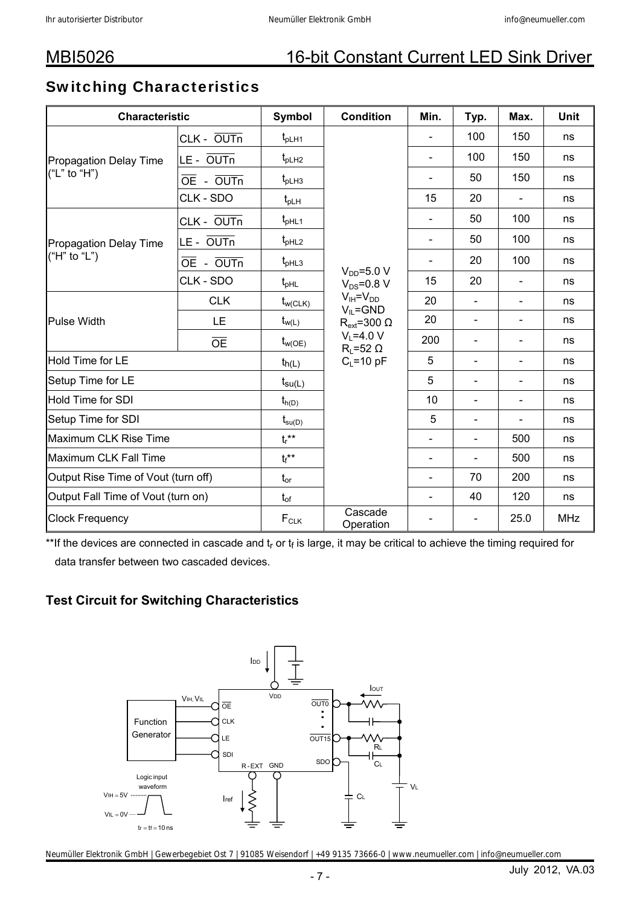### Switching Characteristics

| <b>Characteristic</b>               |                                     | <b>Symbol</b>      | <b>Condition</b>                                              | Min.                     | Typ.                     | Max.           | <b>Unit</b> |
|-------------------------------------|-------------------------------------|--------------------|---------------------------------------------------------------|--------------------------|--------------------------|----------------|-------------|
|                                     | CLK - OUTn                          | $t_{\text{plH1}}$  |                                                               |                          | 100                      | 150            | ns          |
| <b>Propagation Delay Time</b>       | LE - OUTn                           | $t_{\text{pLH2}}$  |                                                               | $\overline{\phantom{a}}$ | 100                      | 150            | ns          |
| ("L" to "H")                        | $\overline{OE}$ - $\overline{OUTn}$ | $t_{\text{plH3}}$  |                                                               | $\overline{\phantom{a}}$ | 50                       | 150            | ns          |
|                                     | CLK - SDO                           | $t_{\sf pLH}$      |                                                               | 15                       | 20                       |                | ns          |
|                                     | CLK - OUTn                          | $t_{pHL1}$         |                                                               | $\blacksquare$           | 50                       | 100            | ns          |
| <b>Propagation Delay Time</b>       | LE - OUTn                           | $t_{pHL2}$         |                                                               | $\blacksquare$           | 50                       | 100            | ns          |
| ("H" to "L")                        | OE - OUTn                           | $t_{pHL3}$         |                                                               |                          | 20                       | 100            | ns          |
|                                     | CLK - SDO                           | $t_{pHL}$          | $V_{DD} = 5.0 V$<br>$V_{DS} = 0.8 V$                          | 15                       | 20                       | $\blacksquare$ | ns          |
|                                     | <b>CLK</b>                          | $t_{w(CLK)}$       | $V_{IH} = V_{DD}$<br>$V_{IL} = GND$                           | 20                       |                          | $\overline{a}$ | ns          |
| <b>Pulse Width</b>                  | LE                                  | $t_{w(L)}$         | $R_{ext}$ =300 $\Omega$<br>$V_1 = 4.0 V$<br>$R_1 = 52 \Omega$ | 20                       | $\blacksquare$           | $\overline{a}$ | ns          |
|                                     | <b>OE</b>                           | $t_{w(OE)}$        |                                                               | 200                      | $\blacksquare$           | $\overline{a}$ | ns          |
| <b>Hold Time for LE</b>             |                                     | $t_{h(L)}$         | $C_L = 10 pF$                                                 | 5                        | $\blacksquare$           | $\frac{1}{2}$  | ns          |
| Setup Time for LE                   |                                     | $t_{\text{su}(L)}$ |                                                               | 5                        | $\blacksquare$           | L,             | ns          |
| <b>Hold Time for SDI</b>            |                                     | $t_{h(D)}$         |                                                               | 10                       | $\blacksquare$           | $\overline{a}$ | ns          |
| Setup Time for SDI                  |                                     | $t_{\text{su}(D)}$ |                                                               | 5                        | $\overline{\phantom{a}}$ | L,             | ns          |
| <b>Maximum CLK Rise Time</b>        |                                     | $t_r$ **           |                                                               |                          | $\blacksquare$           | 500            | ns          |
| Maximum CLK Fall Time               |                                     | $t_f$ **           |                                                               | $\blacksquare$           | $\blacksquare$           | 500            | ns          |
| Output Rise Time of Vout (turn off) | $t_{or}$                            |                    | $\blacksquare$                                                | 70                       | 200                      | ns             |             |
| Output Fall Time of Vout (turn on)  |                                     | $t_{of}$           |                                                               | $\blacksquare$           | 40                       | 120            | ns          |
| <b>Clock Frequency</b>              |                                     | $F_{CLK}$          | Cascade<br>Operation                                          |                          |                          | 25.0           | <b>MHz</b>  |

\*\*If the devices are connected in cascade and  $t_r$  or  $t_f$  is large, it may be critical to achieve the timing required for data transfer between two cascaded devices.

### **Test Circuit for Switching Characteristics**

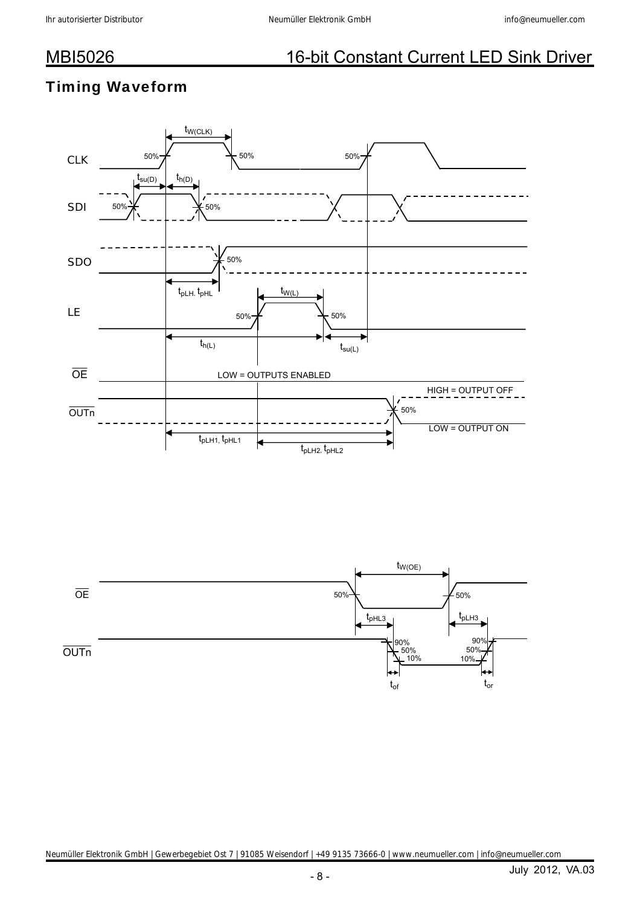## Timing Waveform



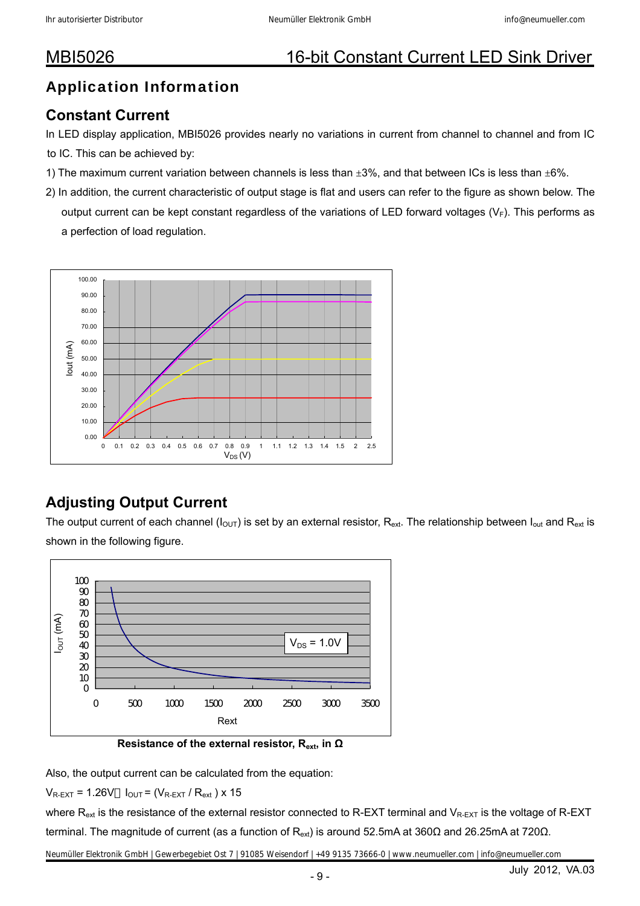## Application Information

### **Constant Current**

In LED display application, MBI5026 provides nearly no variations in current from channel to channel and from IC

- to IC. This can be achieved by:
- 1) The maximum current variation between channels is less than  $\pm 3\%$ , and that between ICs is less than  $\pm 6\%$ .
- 2) In addition, the current characteristic of output stage is flat and users can refer to the figure as shown below. The output current can be kept constant regardless of the variations of LED forward voltages ( $V_F$ ). This performs as a perfection of load regulation.



## **Adjusting Output Current**

The output current of each channel ( $I_{OUT}$ ) is set by an external resistor,  $R_{ext}$ . The relationship between  $I_{out}$  and  $R_{ext}$  is shown in the following figure.



**Resistance of the external resistor, Rext, in Ω**

Also, the output current can be calculated from the equation:

 $V_{R-EXT}$  = 1.26V  $I_{OUT}$  = ( $V_{R-EXT}/R_{ext}$ ) x 15

where  $R_{ext}$  is the resistance of the external resistor connected to R-EXT terminal and  $V_{R-EXT}$  is the voltage of R-EXT terminal. The magnitude of current (as a function of R<sub>ext</sub>) is around 52.5mA at 360Ω and 26.25mA at 720Ω.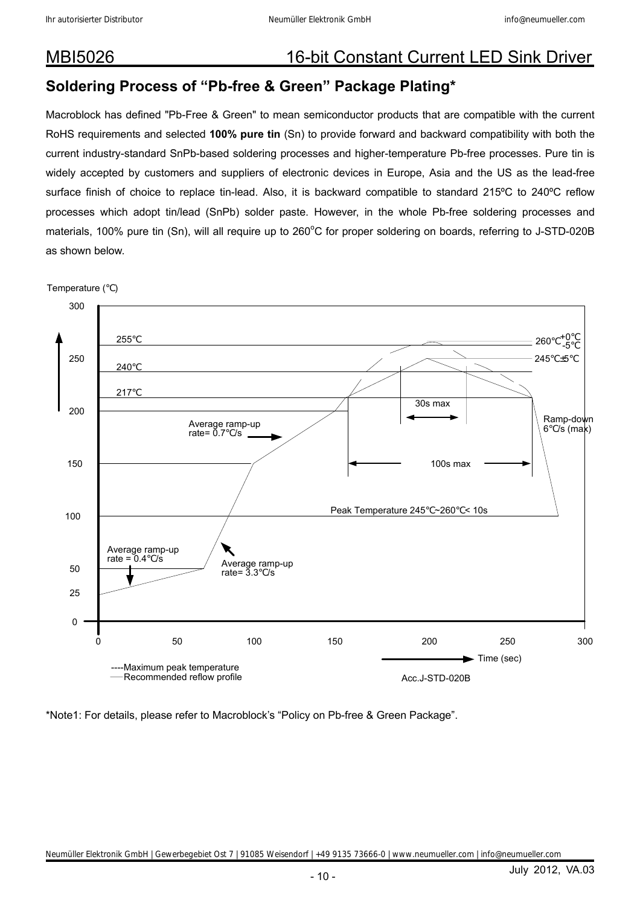### **Soldering Process of "Pb-free & Green" Package Plating\***

Macroblock has defined "Pb-Free & Green" to mean semiconductor products that are compatible with the current RoHS requirements and selected **100% pure tin** (Sn) to provide forward and backward compatibility with both the current industry-standard SnPb-based soldering processes and higher-temperature Pb-free processes. Pure tin is widely accepted by customers and suppliers of electronic devices in Europe, Asia and the US as the lead-free surface finish of choice to replace tin-lead. Also, it is backward compatible to standard 215ºC to 240ºC reflow processes which adopt tin/lead (SnPb) solder paste. However, in the whole Pb-free soldering processes and materials, 100% pure tin (Sn), will all require up to 260°C for proper soldering on boards, referring to J-STD-020B as shown below.



Temperature ( )

\*Note1: For details, please refer to Macroblock's "Policy on Pb-free & Green Package".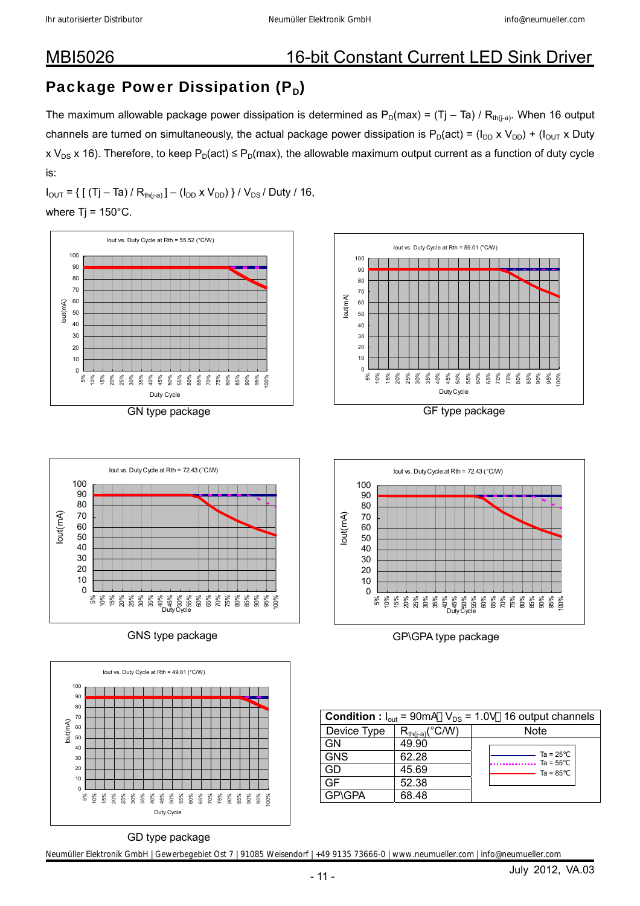## Package Power Dissipation  $(P_D)$

The maximum allowable package power dissipation is determined as  $P_D(max) = (Tj - Ta) / R_{th(i-a)}$ . When 16 output channels are turned on simultaneously, the actual package power dissipation is  $P_D(act) = (I_{DD} \times V_{DD}) + (I_{OUT} \times Duty)$ x V<sub>DS</sub> x 16). Therefore, to keep P<sub>D</sub>(act)  $\leq$  P<sub>D</sub>(max), the allowable maximum output current as a function of duty cycle is:

 $I_{\text{OUT}} = \{ [ (Tj - Ta) / R_{th(i-a)}] - (I_{\text{DD}} \times V_{\text{DD}}) \} / V_{\text{DS}} / \text{Duty} / 16,$ where  $Ti = 150^{\circ}$ C.











GNS type package GNS type package

|               |                                 | <b>Condition</b> : $I_{out}$ = 90mA $V_{DS}$ = 1.0V 16 output channels |
|---------------|---------------------------------|------------------------------------------------------------------------|
| Device Type   | $R_{th(i-a)}$ <sup>°</sup> C/W) | <b>Note</b>                                                            |
| GN            | 49.90                           |                                                                        |
| <b>GNS</b>    | 62.28                           | $Ta = 25$<br>$\cdots$ Ta = 55                                          |
| GD            | 45.69                           | $\frac{1}{12}$ Ta = 85                                                 |
|               | 52.38                           |                                                                        |
| <b>GP\GPA</b> | 68.48                           |                                                                        |

### GD type package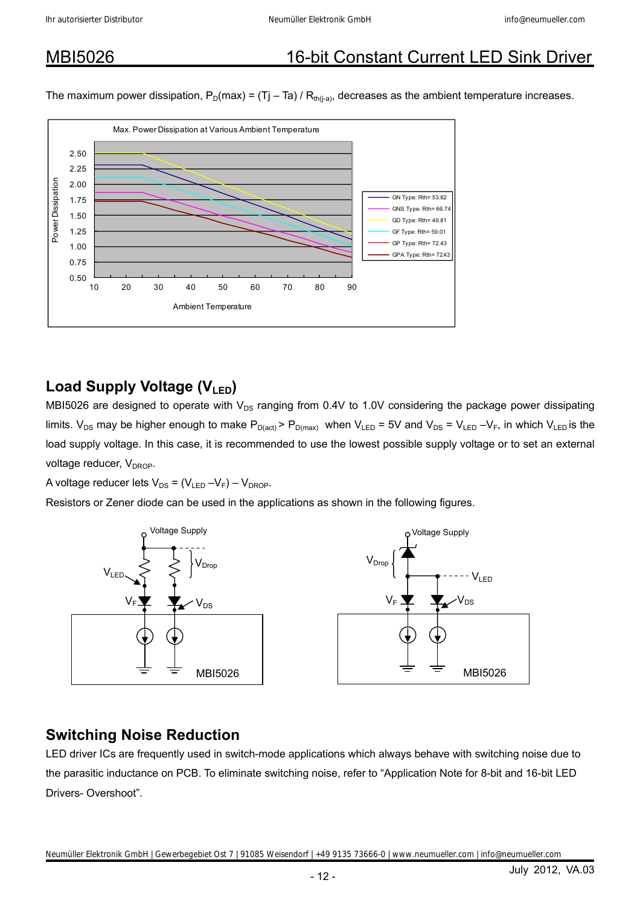The maximum power dissipation,  $P_D(max) = (Tj - Ta) / R_{th(i-a)}$ , decreases as the ambient temperature increases.



### Load Supply Voltage (V<sub>LED</sub>)

MBI5026 are designed to operate with  $V_{DS}$  ranging from 0.4V to 1.0V considering the package power dissipating limits.  $V_{DS}$  may be higher enough to make  $P_{D(act)}$  >  $P_{D(max)}$  when  $V_{LED} = 5V$  and  $V_{DS} = V_{LED} - V_F$ , in which  $V_{LED}$  is the load supply voltage. In this case, it is recommended to use the lowest possible supply voltage or to set an external voltage reducer,  $V_{DROP}$ .

A voltage reducer lets  $V_{DS} = (V_{LED} - V_F) - V_{DROP}$ .

Resistors or Zener diode can be used in the applications as shown in the following figures.



### **Switching Noise Reduction**

LED driver ICs are frequently used in switch-mode applications which always behave with switching noise due to the parasitic inductance on PCB. To eliminate switching noise, refer to "Application Note for 8-bit and 16-bit LED Drivers- Overshoot".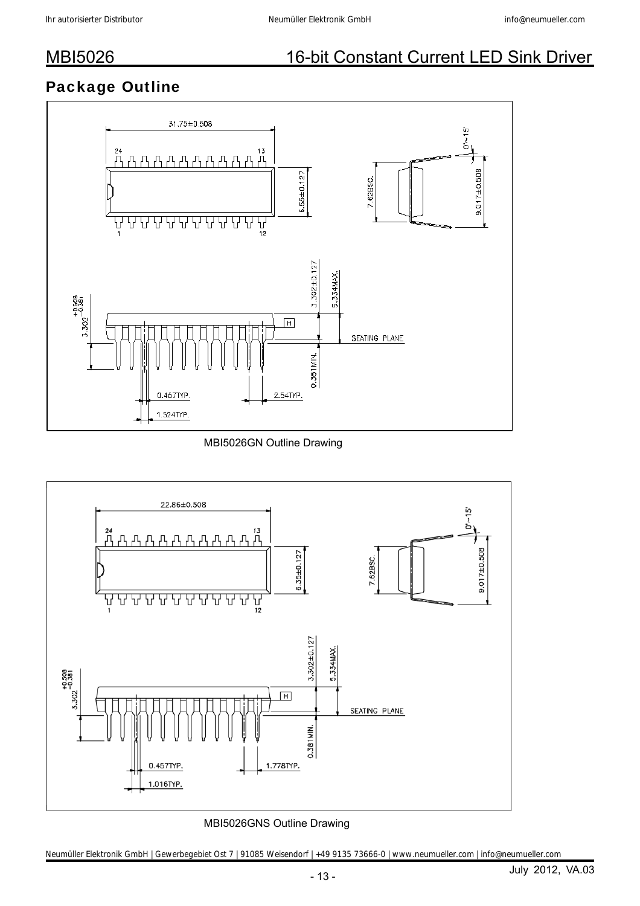## Package Outline



MBI5026GN Outline Drawing



### MBI5026GNS Outline Drawing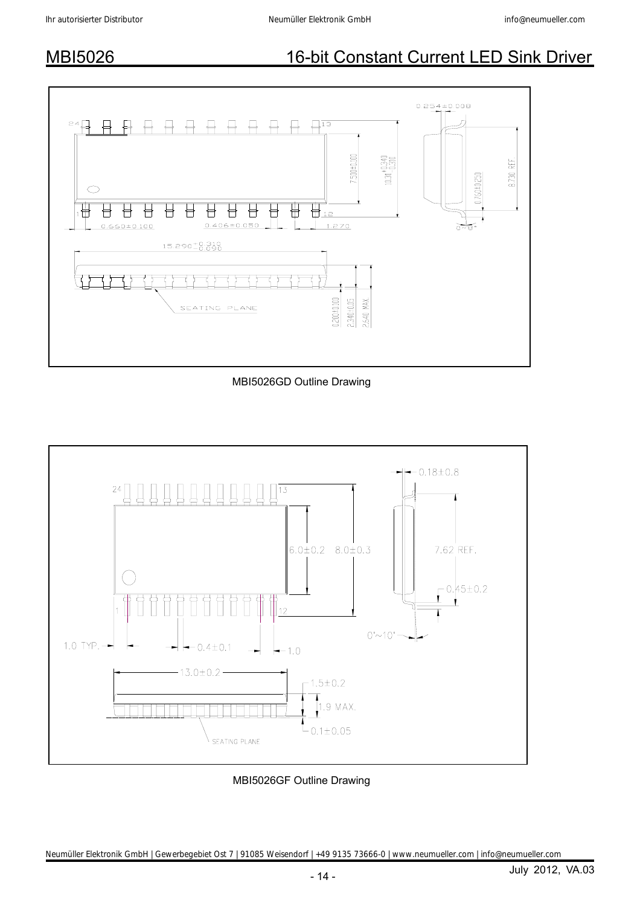

MBI5026GD Outline Drawing



MBI5026GF Outline Drawing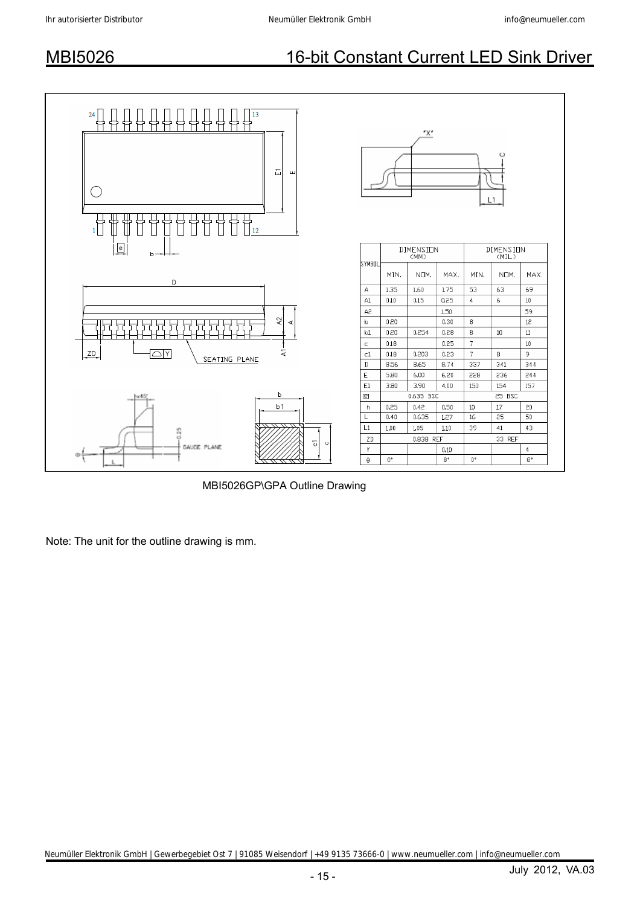

MBI5026GP\GPA Outline Drawing

Note: The unit for the outline drawing is mm.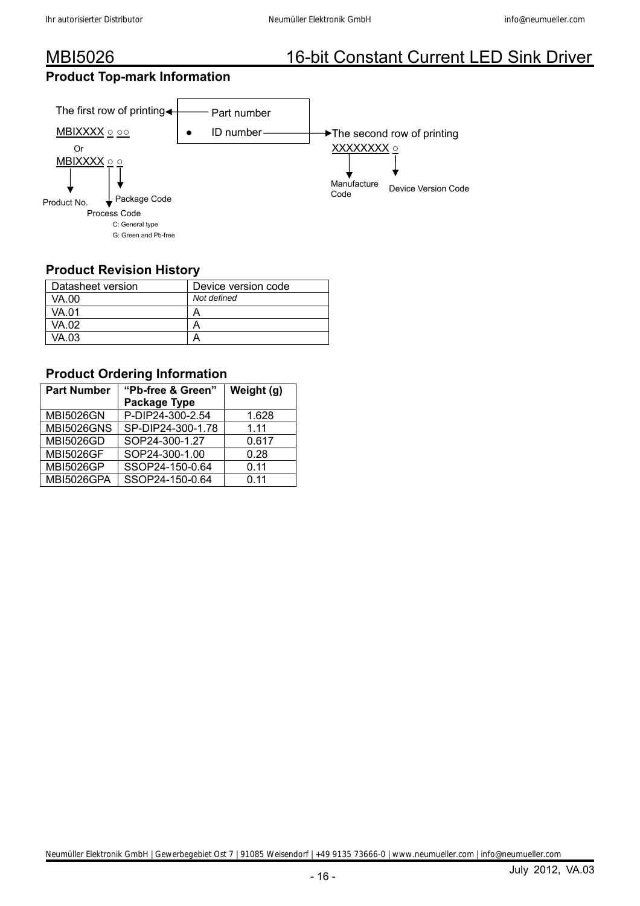### **Product Top-mark Information**



### **Product Revision History**

| Datasheet version | Device version code |
|-------------------|---------------------|
| VA.00             | Not defined         |
| VA.01             |                     |
| VA.02             |                     |
| VA.03             |                     |

### **Product Ordering Information**

| <b>Part Number</b> | "Pb-free & Green" | Weight (g) |  |  |
|--------------------|-------------------|------------|--|--|
|                    | Package Type      |            |  |  |
| <b>MBI5026GN</b>   | P-DIP24-300-2.54  | 1.628      |  |  |
| <b>MBI5026GNS</b>  | SP-DIP24-300-1.78 | 1.11       |  |  |
| <b>MBI5026GD</b>   | SOP24-300-1.27    | 0.617      |  |  |
| <b>MBI5026GF</b>   | SOP24-300-1.00    | 0.28       |  |  |
| <b>MBI5026GP</b>   | SSOP24-150-0.64   | 0.11       |  |  |
| MBI5026GPA         | SSOP24-150-0.64   | 0.11       |  |  |